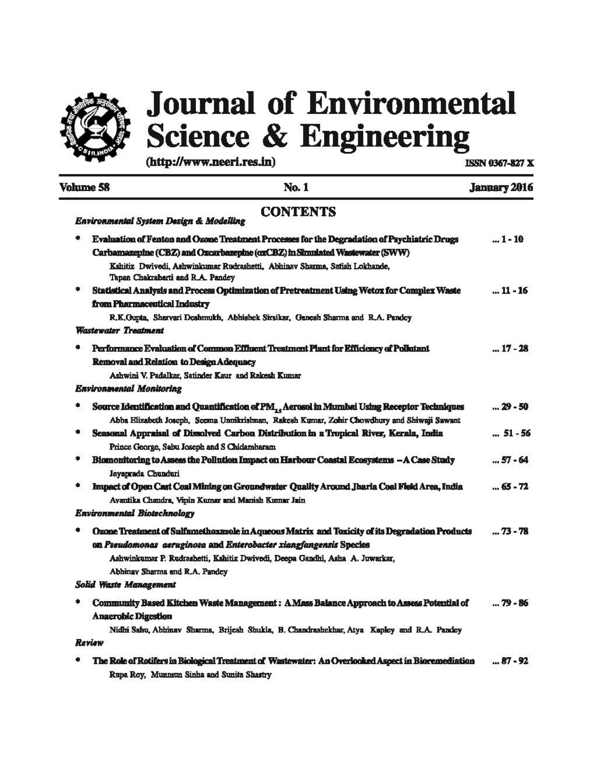

# **Journal of Environmental Science & Engineering**

 $(\text{http://www.neeri.res.in})$  ISSN 0367-827 X

|   | <b>Volume 58</b><br>No. 1                                                                                                                                                                                                                                                                     | <b>January 2016</b> |  |
|---|-----------------------------------------------------------------------------------------------------------------------------------------------------------------------------------------------------------------------------------------------------------------------------------------------|---------------------|--|
|   | <b>CONTENTS</b><br>Environmental System Design & Modelling                                                                                                                                                                                                                                    |                     |  |
|   | Evaluation of Fenton and Ozone Treatment Processes for the Degradation of Psychiatric Drugs<br>Carbamazepine (CBZ) and Ozcarbazepine (oxCBZ) in Simulated Wastewater (SWW)<br>Kshitiz Dwivedi, Ashwinkumar Rudrashetti, Abhinav Sharma, Satish Lokhande,<br>Tapan Chakrabarti and R.A. Pandey | $ 1 - 10$           |  |
|   | Statistical Analysis and Process Optimization of Pretreatment Using Wetox for Complex Waste<br>from Pharmaceutical Industry<br>R.K.Gupta, Sharvari Deahmukh, Abhishek Sirsikar, Ganeah Sharma and R.A. Pandey<br><b>Wastewater Treatment</b>                                                  | $11 - 16$           |  |
|   | Performance Evaluation of Common Effluent Treatment Plant for Efficiency of Pollutant<br>Removal and Relation to Design Adequacy<br>Ashwini V. Padalkar, Satinder Kaur and Rakesh Kumar<br><b>Environmental Monitoring</b>                                                                    | $ 17 - 28$          |  |
| ۰ | Source Identification and Quantification of PM, Aerosol in Mumbai Using Receptor Techniques<br>Abba Klizabeth Joseph, Seema Unnikrishnan, Rakesh Kumar, Zohir Chowdhury and Shiwaji Sawant                                                                                                    | $ 29 - 50$          |  |
|   | Seasonal Appraisal of Dissolved Carbon Distribution in a Tropical River, Kerala, India<br>Prince George, Sabu Joseph and S Chidamharam                                                                                                                                                        | $ 51 - 56$          |  |
| ٠ | Blomonitoring to Assess the Pollution Impact on Harbour Coastal Ecosystems - A Case Study<br>Jayaprada Chunduri                                                                                                                                                                               | $ 57 - 64$          |  |
|   | Impact of Open Cast Coal Mining on Groundwater Quality Around Jharia Coal Field Area, India<br>Avantika Chandra, Vipin Kumar and Manish Kumar Jain<br>Environmental Biotechnology                                                                                                             | $65 - 72$           |  |
|   | Ozone Treatment of Sulfamethoxazole in Aqueous Matrix and Toxicity of its Degradation Products<br>on Preudomonas aeruginosa and Enterobacter xiangfangensis Species<br>Ashwinkumar P. Rudrashetti, Kshitiz Dwivedi, Deepa Gandhi, Asha A. Juwarkar,<br>Abhinay Sharma and R.A. Pandey         | 73 - 78             |  |
|   | Solid Waste Management                                                                                                                                                                                                                                                                        |                     |  |
|   | Community Based Kitchen Waste Management : A Mass Balance Approach to Assess Potential of<br><b>Anaerobic Digestion</b><br>Nidhi Sahu, Abhinav Sharma, Brijesh Shukla, B. Chandrashekhar, Atya Kapley and R.A. Pandey                                                                         | 79 - 86             |  |
|   | Review                                                                                                                                                                                                                                                                                        |                     |  |
|   | The Role of Rotifers in Biological Treatment of Wastewater: An Overlooked Aspect in Bioremediation<br>Rupa Roy, Munmun Sinha and Sunita Shastry                                                                                                                                               | $ 87 - 92$          |  |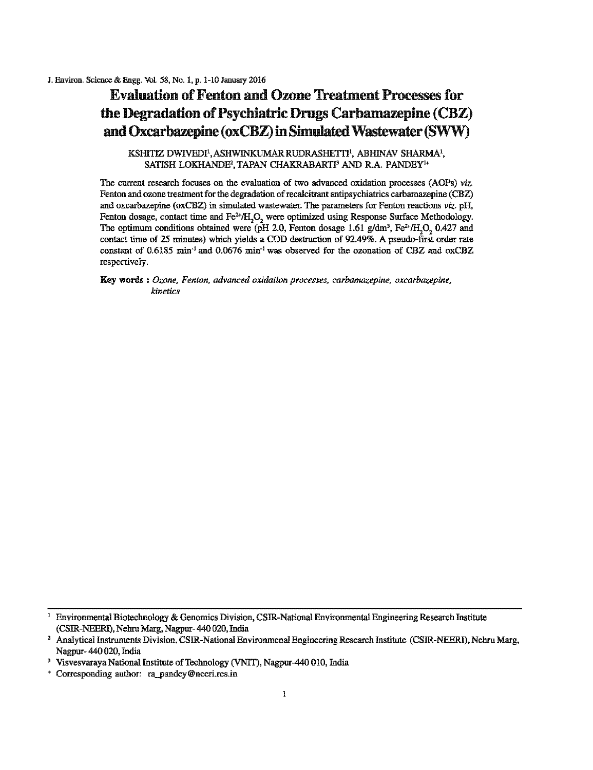## **Evaluation of Fenton and Ozone Treatment Processes for** the Degradation of Psychiatric Drugs Carbamazepine (CBZ) and Oxcarbazepine (oxCBZ) in Simulated Wastewater(SWW)

KSHITIZ DWIVEDI<sup>1</sup>, ASHWINKUMAR RUDRASHETTI<sup>1</sup>, ABHINAV SHARMA<sup>1</sup>, SATISH LOKHANDE2 , TAPAN CHAKRABARTI' AND RA. PANDEY'•

The current research focuses on the evaluation of two advanced oxidation processes (AOPs) *viz.* Fenton and ozone treatment for the degradation of recalcitrant antipsychiatrics carbamazepine (CBZ) and oxcarbazepine ( $\alpha$ xCBZ) in simulated wastewater. The parameters for Fenton reactions *viz.* pH, Fenton dosage, contact time and  $Fe^{2+}/H_2O_2$  were optimized using Response Surface Methodology. The optimum conditions obtained were (pH 2.0, Fenton dosage 1.61 g/dm<sup>3</sup>, Fe<sup>2+</sup>/H<sub>2</sub>O<sub>2</sub> 0.427 and contact time of 25 minutes) which yielda a COD destruction of 92.49%. A pseudo-first order rate constant of 0.6185 min<sup>-1</sup> and 0.0676 min<sup>-1</sup> was observed for the ozonation of CBZ and oxCBZ respectively.

Key words : *Ozone, Fenton, advanced oxidation processes, carbamazepine, oxcarbazepine, kinetics* 

<sup>1</sup> Environmental Biotechoology & Genontics Division, CSJR-National Environmental Engineering Research Institute (CSIR-NEERI), Nehru Marg, Nagpur- 440 020, India<br>2 Analytical Instruments Division, CSIR-National Environmenal Engineering Research Institute (CSIR-NEERI), Nehru Marg,

Nagpur- 440 020, India<br>3 Visvesvaraya National Institute of Technology (VNIT), Nagpur-440 010, India

<sup>+</sup> Corresponding aulhor: ra\_\_pandey@neeri.rcs.in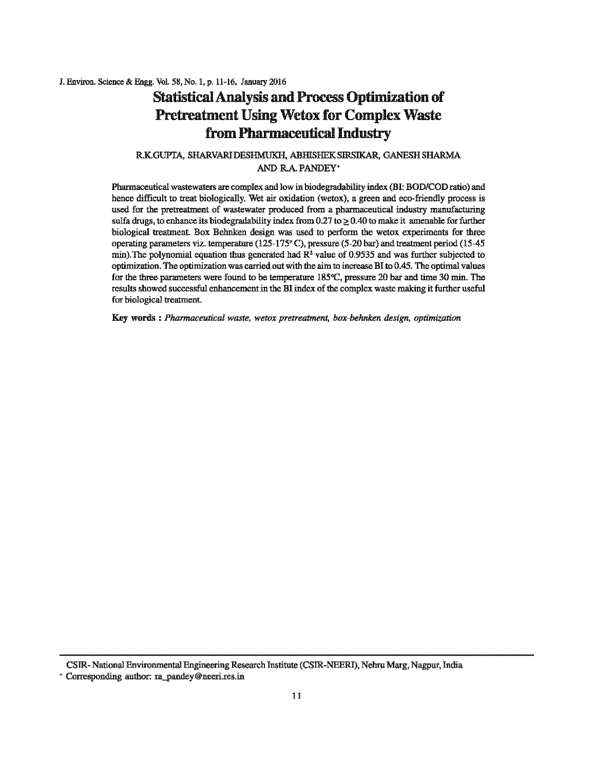J. Environ. Science & Engg. Vol. 58, No.1, p. 11-16, January 2016

## Statistical Analysis and Process Optimization of Pretreatment Using Wetox for Complex Waste from Pharmaceutical Industry

#### RKGUPTA, SHARVARIDESHMUKH, ABHISHEKSIRSIKAR, GANESH SHARMA AND RA.PANDEY•

Pharmaceutical wastewaters are complex and low in biodegradability index (BI: BOD/COD ratio) and hence difficult to treat biologically. Wet air oxidation (wetox), a green and eco-friendly process is used for the pretrealment of wastewater produced from a pharmaceutical industry manofacturing sulfa drugs, to enhance its biodegradability index from  $0.27$  to  $> 0.40$  to make it amenable for further biological treatment. Box Behnken design was used to perform the wetox experiments for three operating parameters viz. temperature  $(125-175)$ °C), pressure (5-20 bar) and treatment period (15-45 min). The polynomial equation thus generated had  $\mathbb{R}^2$  value of 0.9535 and was further subjected to optimization. The optimization was carried out with the aim to increase BI to 0.45. The optimal values for the three parameters were found to be temperature  $185^{\circ}$ C, pressure 20 bar and time 30 min. The results showed successful enhancement in the BI index of the complex waste making it further useful for biological treatment.

Key words : *Pharmaceutical waste, wetox pretreatment, box-behnken design, optimization* 

CSIR- National Environmental Engineering Research Institute (CSIR-NEERJ), Nehro Marg, Nagpur, India

• Corresponding author: ra\_pandey@neeri.res.in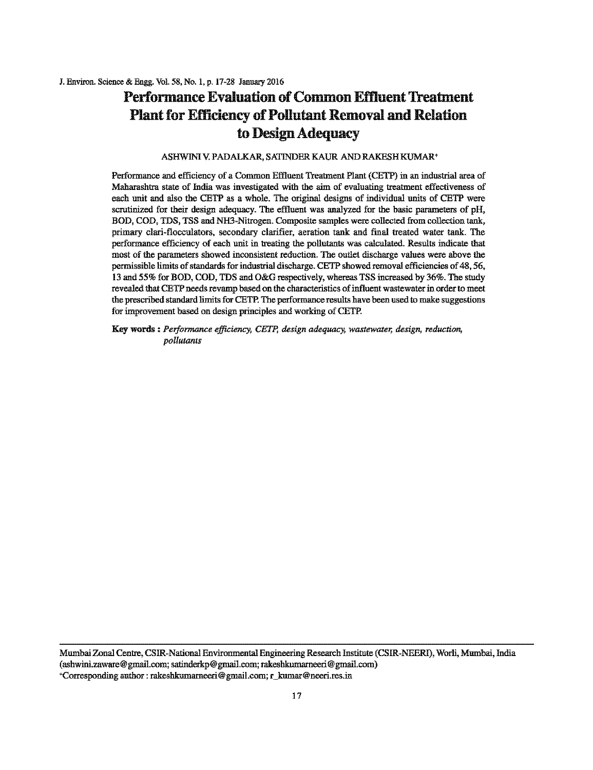# Performance Evaluation of Common Effluent Treatment Plant for Efficiency of Pollutant Removal and Relation to Design Adequacy

#### ASHWINIV. PADALKAR, SATINDER KAUR AND RAKESH KUMAR+

Performance and efficiency of a Common Effloent Treatment Plant (CETP) in an industrial area of Maharashtra state of India was investigated with the aim of evaluating treatment effectiveness of each unit and also the CETP as a whole. The original designs of individual units of CETP were scrutinized for their design adequacy. The effluent was analyzed for the basic parameters of pH, BOD, COD, TDS, TSS and NH3-Nitrogen. Composite samples were collected from collection tank, primary clari-flocculators, secondary clarifier, aeration tank and final treated water tank. The performance efficiency of each unit in treating the pollutants was calculated. Results indicate that most of the parameters showed inconsistent reduction. The outlet discharge values were above the permissible limits of standards for industrial discharge. CETP showed removal efficiencies of 48, 56, 13 and 55% for BOD, COD, TDS and O&G respectively, whereas TSS increased by 36%. The study revealed that CETP needs revamp based on the characteristics of influent wastewater in order to meet the prescribed standard limits for CETP. The performance results have been used to make suggestions for improvement based on design principles and working of CETP.

Key words : *Performance efficiency, CETP, design adequacy, wastewater, design, reduction, pollutants* 

Mumbai Zonal Centre, CSJR-National Environmental Engineering Research Institute (CSJR-NEERI), Worli, Mumbai, India (ashwini.zaware@ gmaiJ.com; satinderkp@gmail.com; rakeshkumarneeri@ gmail.com) +Corresponding author: rakeshkumarneeri@gmail.com; r\_kumar@neeri.res.in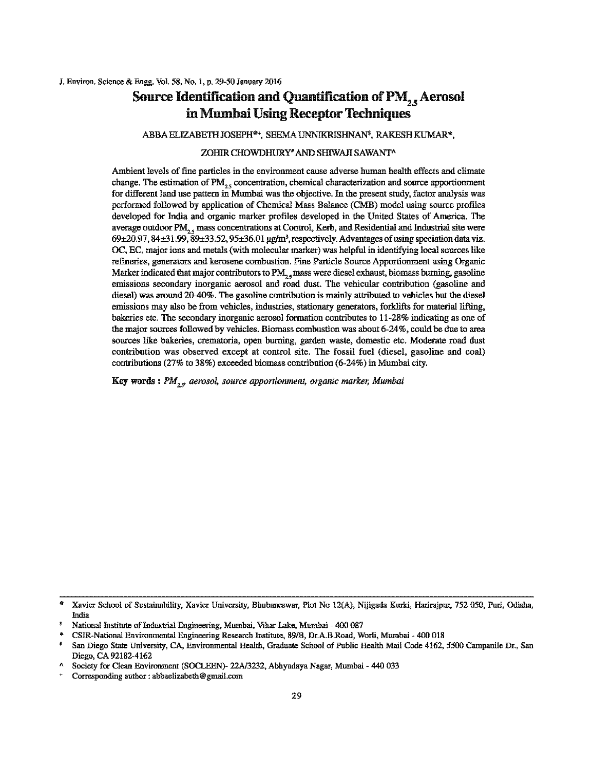## Source Identification and Quantification of  $\text{PM}_{2,5}$  Aerosol in Mmnbai Using Receptor Techniques

ABBA ELIZABETH JOSEPH®+, SEEMA UNNIKRISHNAN', RAKESH KUMAR\*,

#### ZOHIR CHOWDHURY<sup>\*</sup> AND SHIWAJI SAWANT^

Ambient levels of fine particles in the environment cause adverse human health effects and climate change. The estimation of  $PM_{2.5}$  concentration, chemical characterization and source apportionment for different land use pattern in Mumbai was the objective. In the present study, factor analysis was performed followed by application of Chemical Mass Balance (CMB) model using source profiles developed for India and organic marker profiles developed in the United States of America. The average outdoor  $PM_{n,s}$  mass concentrations at Control, Kerb, and Residential and Industrial site were  $69\pm20.97$ ,  $84\pm31.99$ ,  $89\pm33.52$ ,  $95\pm36.01$  µg/m<sup>3</sup>, respectively. Advantages of using speciation data viz. OC, EC, major ions and metals (with molecular marker) was helpful in identifying local sources like refineries, generators and kerosene combustion. Fine Particle Source Apportionment using Organic Marker indicated that major contributors to PM<sub>2</sub>, mass were diesel exhaust, biomass burning, gasoline emissions secondary inorganic aerosol and road dust. The vehicular contribution (gasoline and diesel) was around 20-40%. The gasoline contribution is maiuly attributed to vehicles but the diesel emissions may also be from vehicles, industries, stationary generators, forklifts for material lifting, bakeries etc. The secondary inorganic aerosol formation contributes to 11-28% indicating as one of the major sources followed by vehicles. Biomass combustion was about 6-24%, could be due to area sources like bakeries, crematoria, open burning, garden waste, domestic etc. Moderate road dust contribution was observed except at control site. The fossil fuel (diesel, gasoline and coal) contributions (27% to 38%) exceeded biomass contribution (6-24%) in Mumbai city.

Key words: *PM<sub>27</sub>* aerosol, source apportionment, organic marker, Mumbai

<sup>&</sup>lt;sup>®</sup> Xavier School of Sustainability, Xavier University, Bhubaneswar, Plot No 12(A), Nijigada Kurki, Harirajpur, 752 050, Puri, Odisha, India

*s* **National Institute of Industrial Engineering) Mumbai. Vihar Lake, Mumbai- 400 087** 

<sup>\*</sup> **CSIR-National Environmental Engineering Research lnstitute, 89/B, Dr.A.B.Road, Worli, Mumbai - 400 018** 

<sup>•</sup> San Diego State University, CA, Environmental Health, Graduate School of Public Health Mail Code 4162, 5500 Campanile Dr., San Diego, CA 92182-4162

A Society for Clean Environment (SOCLEEN)- 22A/3232, Abhyudaya Nagar, Mumbai - 440 033

<sup>+</sup>**Corresponding author: abbaelizabeth@gmail.com**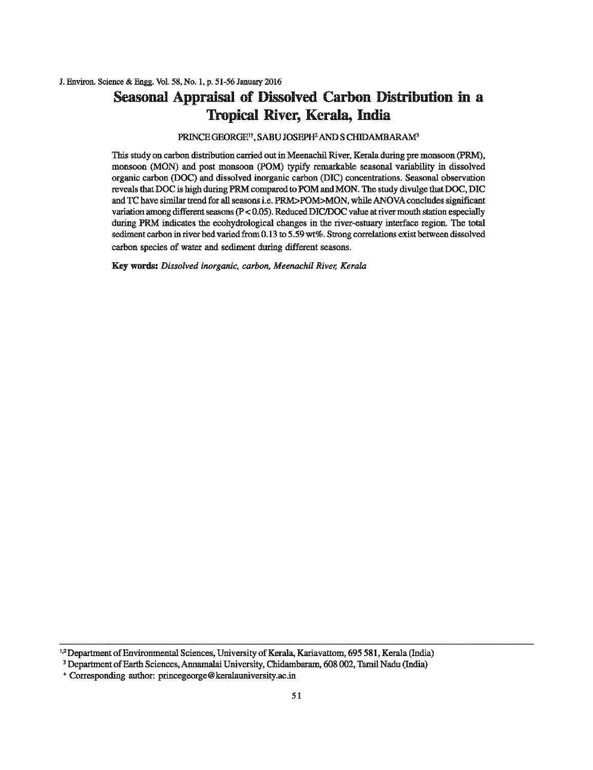## **Seasonal Appraisal of Dissolved Carbon Distribution in a Tropical River, Kerala, India**

#### PRINCEGEORGE", SABU JOSEPH' AND S CHIDAMBARAM'

This study on carbon distribution carried out in Meenachil River, Kerala during pre monsoon (PRM), monsoon (MON) and post monsoon (POM) typify remarkable seasonal variability in dissolved organic carbon (DOC) and dissolved inorganic carbon (DIC) concentrations. Seasonal observation reveals that DOC is higb during PRM compared to POM and MON. The study divulge that DOC, DIC and TC have similar trend for all seasons i.e. PRM>POM>MON, whileANOVAconcludes significant variation among different seasons (P < 0.05). Reduced DIC/DOC value at river mouth station especially during PRM indicates the ecohydrological changes in the river-estuary interface region. The total sediment carbon in river bed varied from 0.13 to 5.59 wt%. Strong correlations exist between dissolved carbon species of water and sediment during different seasons.

Key words: *Dissolved inorganic, carbon, Meenachil River, Kerala* 

<sup>&</sup>lt;sup>1,2</sup> Department of Environmental Sciences, University of Kerala, Kariavattom, 695 581, Kerala (India)<sup>3</sup> Department of Earth Sciences, Annamalai University, Chidambaram, 608 002, Tamil Nadu (India)

<sup>+</sup>Corresponding author: princegeorge@keralauniversity.ac.in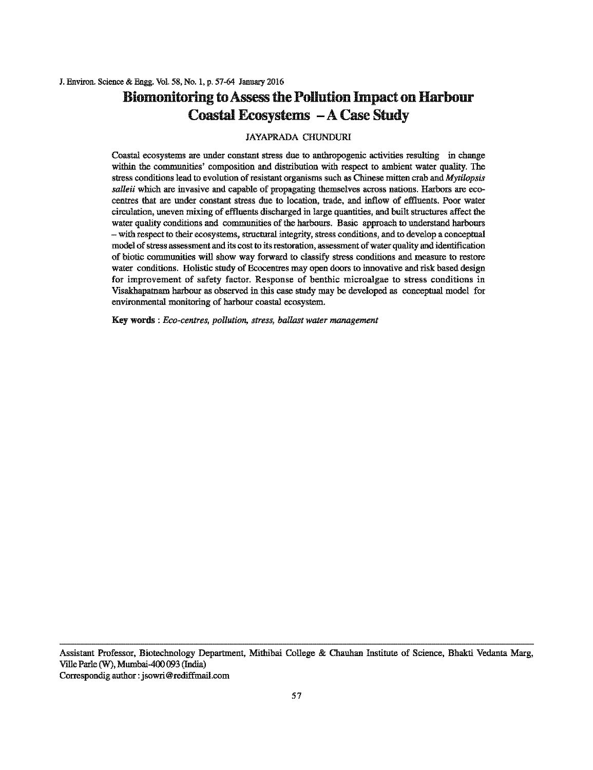## **Biomonitoring to Assess the Pollution Impact on Harbour Coastal Ecosystems -A Case Study**

#### JAYAPRADA CHUNDURI

Coastal ecosystems are under constant stress due to anthropogenic activities resulting in change wilhin the communities' composition and distribution with respect to ambient water quality. The stress conditions lead to evolution of resistant organisms such as Chinese mitten crab and *Mytilopsis salleii* which are invasive and capable of propagating themselves across nations. Harbors are ecocentres that are under constant stress due to location, trade, and inflow of effluents. Poor water circulation, uneven mixing of effluents discharged in large quantities, and built structures affect the water quality conditions and communities of the harbours. Basic approach to understand harbours - with respect to their ecosystems, structoral integrity, stress conditions, and to develop a conceptual model of stress assessment and its cost to its restoration, assessment of water quality and identification of biotic communities will show way forward to classify stress conditions and measure to restore water conditions. Holistic study of Ecocentres may open doors to innovative and risk based design for improvement of safety factor. Response of benthic microalgae to stress conditions in Visakhapatuam harbour as observed in this case stndy may be developed as conceptual model for environmental monitoring of harbour coastal ecosystem.

Key words : *Eco-centres, pollution, stress, ballast water management* 

Assistant Professor, Biotechnology Department, Mithibai College & Chauhan Institute of Science, Bhakti Vedanta Marg, Ville Parle (W), Mumhai-400 093 (India) Correspondig author : jsowri @rediffmail.com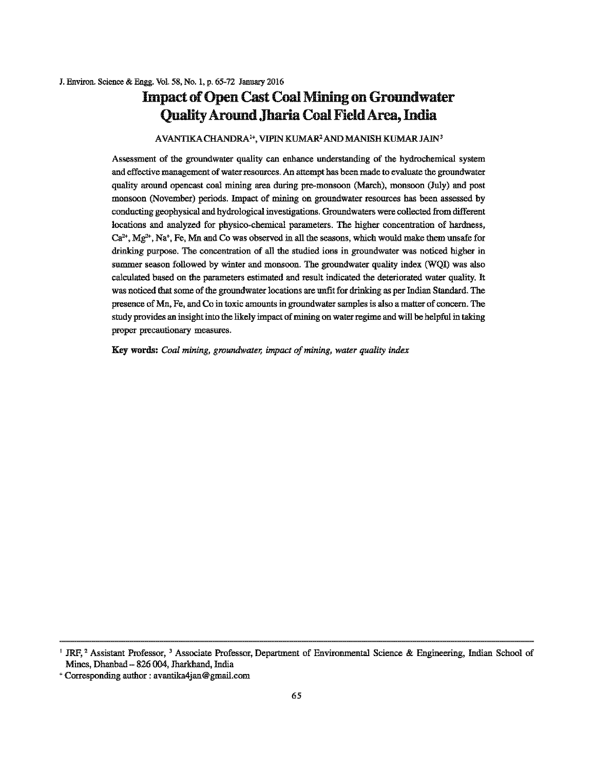## **Impact of Open Cast Coal Mining on Groundwater Quality Aronnd .Tharia Coal Field** Area, **India**

#### AVANTIKA CHANDRA<sup>1+</sup>, VIPIN KUMAR<sup>2</sup> AND MANISH KUMAR JAIN<sup>3</sup>

Assessment of the groundwater quality can enhance understanding of the hydrochemical system and effective management of water resources. An attempt has been made to evaluate the groundwater quality around opencast coal mining area during pre-monsoon (March), monsoon (July) and post monsoon (November) periods. Impact of mining on groundwater resources has been assessed by conducting geophysical and hydrological investigations. Groundwaters were collected from different locations and analyzed for physico-chemical parameters. The higher concentration of hardness,  $Ca<sup>2+</sup>, Mg<sup>2+</sup>, Na<sup>+</sup>, Fe, Mn and Co was observed in all the seasons, which would make them unsafe for$ drinking purpose. The concentration of all the studied ions in groundwater was noticed higher in summer season followed by winter and monsoon. The groundwater quality index (WQJ) was also calculated based on the parameters estimated and result indicated the deteriorated water quality. It was noticed that some of the groundwater locations are unfit for drinking as per Indian Standard. The presence of Mn, Fe, and Co in toxic amounts in groundwater samples is also a matter of concern. The study provides an insight into the likely impact of mining on water regime and will be helpful in taking proper precautionary measures.

Key words: *Coal mining, groundwater, impact of mining, water quality index* 

<sup>&</sup>lt;sup>1</sup> JRF,<sup>2</sup> Assistant Professor,<sup>3</sup> Associate Professor, Department of Environmental Science & Engineering, Indian School of Mines, Dhanbad- 826 004, Jharkhand, India

<sup>+</sup>Corresponding author : avantika4jan@ gmail.com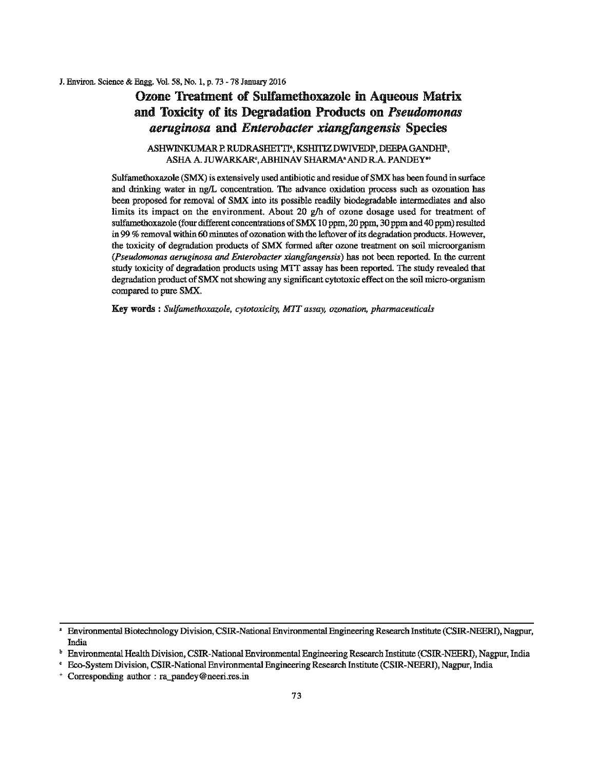#### Ozone Treatment of Sulfametboxazole in Aqueous Matrix and Toxicity of its Degradation Products on *Pseudomonas aeruginosa* and *Enterobacter xiangfangensis* Species

#### ASHWINKUMAR P. RUDRASHETTI", KSHITIZ DWIVEDI", DEEPA GANDHI", ASHA A. JUWARKAR',ABHlNAV SHARMA' AND R.A. PANDEY"'

Sulfamethoxazole (SMX) is extensively used antibiotic and residue of SMX has been found in surface and drinking water in ng/L concentration. The advance oxidation process such as ozonation has been proposed for removal of SMX into its possible readily biodegradable intermediates and also limits its impact on the environment. About 20  $g/h$  of ozone dosage used for treatment of sulfamethoxazole (four different concentrations of SMX 10 ppm, 20 ppm, 30 ppm and 40 ppm) resulted in 99 % removal within 60 minutes of ozonation with the leftover of its degradation products. However, the toxicity of degradation products of SMX formed after ozone treatment on soil microorganism *(Pseudomonas aeruginosa and Enterobacter xiangfangensis)* has not heen reported. In the current stody toxicity of degradation products using M1T assay has been reported. The study revealed that degradation product of SMX not showing any significant cytotoxic effect on the soil micro-organism compared to pure SMX.

Key words : *Sulfamethoxazole, cytotoxicity, MIT assay, ozonation, pharmaceuticals* 

<sup>•</sup> Environmental Biotechnology Division, CSIR-National Environmental Engineering Research Institute (CSIR-NEERI), Nagpur, India

b Environmental Health Division, CSIR-National Environmental Engineering Research Institute (CSIR-NEERI), Nagpur, India

<sup>&#</sup>x27; Eco-System Division, CSIR-National Environmental Engineering Research Institute (CSIR-NEERI), Nagpur, India

<sup>+</sup>Corresponding author : ra\_pandey@neeri.res.in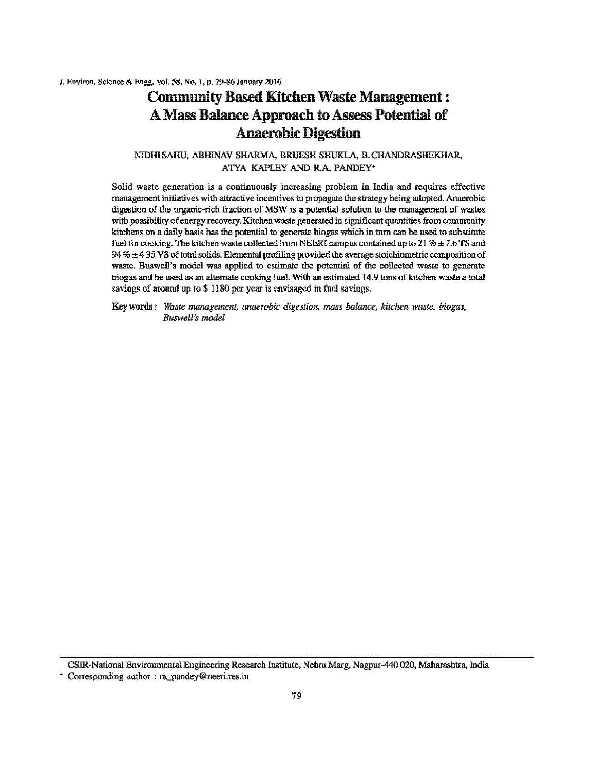# Community Based Kitchen Waste Management: A Mass Balance Approach to Assess Potential of Anaerobic Digestion

NIDHISAHU, ABHINAV SHARMA, BRIJESH SHUKLA, B.CHANDRASHEKHAR, ATYA KAPLEY AND R.A. PANDEY•

Solid waste generation is a continuously increasing problem in India and requires effective management initiatives with attractive incentives to propagate the strategy being adopted. Anaerobic digestion of the organic-rich fraction of MSW is a potential solution to the management of wastes with possibility of energy recovery. Kitchen waste generated in significant quantities from community kitchens on a daily basis has the potential to generate biogas which in turn can be used to substitote fuel for cooking. The kitchen waste collected from NEERI campus contained up to 21 %  $\pm$  7.6 TS and 94  $% \pm 4.35$  VS of total solids. Elemental profiling provided the average stoichiometric composition of waste. Buswell's model was applied to estimate the potential of the collected waste to generate biogas and be used as an alternate cooking fuel. With an estimated 14.9 tons of kitchen waste a total savings of around up to \$ 1180 per year is envisaged in fuel savings.

Key words : *Waste management, anaerobic digestion, mass balance, kitchen waste, biogas, Buswell's model* 

CSIR-National Environmental Engineering Research Institote, Nehru Marg, Nagpur-440 020, Maharasbtra, India

<sup>+</sup>Corresponding author : ra\_pandey@neeri.res.in